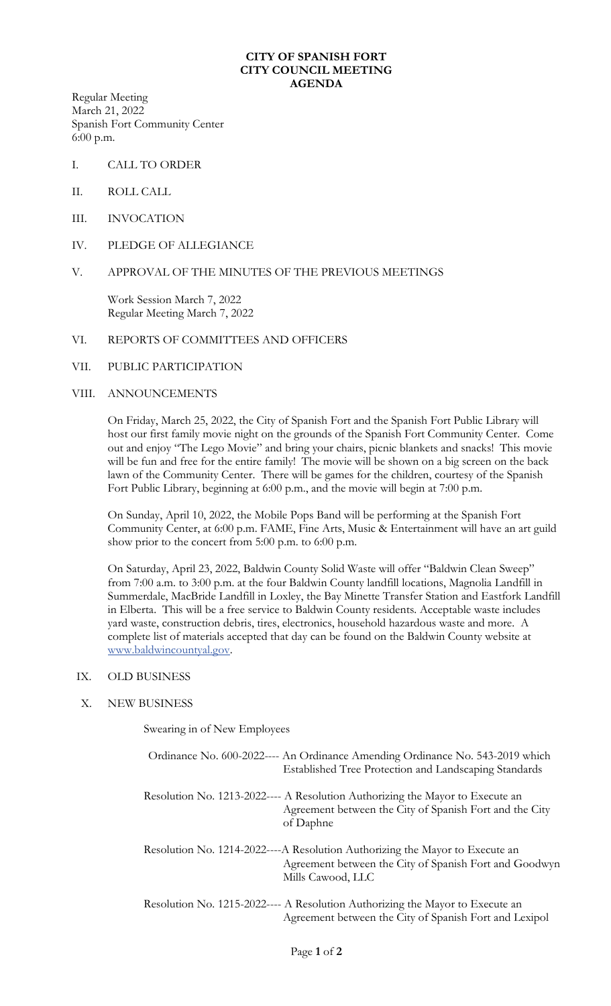### **CITY OF SPANISH FORT CITY COUNCIL MEETING AGENDA**

Regular Meeting March 21, 2022 Spanish Fort Community Center 6:00 p.m.

- I. CALL TO ORDER
- II. ROLL CALL
- III. INVOCATION
- IV. PLEDGE OF ALLEGIANCE

## V. APPROVAL OF THE MINUTES OF THE PREVIOUS MEETINGS

Work Session March 7, 2022 Regular Meeting March 7, 2022

# VI. REPORTS OF COMMITTEES AND OFFICERS

## VII. PUBLIC PARTICIPATION

### VIII. ANNOUNCEMENTS

On Friday, March 25, 2022, the City of Spanish Fort and the Spanish Fort Public Library will host our first family movie night on the grounds of the Spanish Fort Community Center. Come out and enjoy "The Lego Movie" and bring your chairs, picnic blankets and snacks! This movie will be fun and free for the entire family! The movie will be shown on a big screen on the back lawn of the Community Center. There will be games for the children, courtesy of the Spanish Fort Public Library, beginning at 6:00 p.m., and the movie will begin at 7:00 p.m.

On Sunday, April 10, 2022, the Mobile Pops Band will be performing at the Spanish Fort Community Center, at 6:00 p.m. FAME, Fine Arts, Music & Entertainment will have an art guild show prior to the concert from 5:00 p.m. to 6:00 p.m.

On Saturday, April 23, 2022, Baldwin County Solid Waste will offer "Baldwin Clean Sweep" from 7:00 a.m. to 3:00 p.m. at the four Baldwin County landfill locations, Magnolia Landfill in Summerdale, MacBride Landfill in Loxley, the Bay Minette Transfer Station and Eastfork Landfill in Elberta. This will be a free service to Baldwin County residents. Acceptable waste includes yard waste, construction debris, tires, electronics, household hazardous waste and more. A complete list of materials accepted that day can be found on the Baldwin County website at [www.baldwincountyal.gov.](http://www.baldwincountyal.gov/)

#### IX. OLD BUSINESS

# X. NEW BUSINESS

Swearing in of New Employees

| Ordinance No. 600-2022---- An Ordinance Amending Ordinance No. 543-2019 which<br>Established Tree Protection and Landscaping Standards                      |
|-------------------------------------------------------------------------------------------------------------------------------------------------------------|
| Resolution No. 1213-2022---- A Resolution Authorizing the Mayor to Execute an<br>Agreement between the City of Spanish Fort and the City<br>of Daphne       |
| Resolution No. 1214-2022----A Resolution Authorizing the Mayor to Execute an<br>Agreement between the City of Spanish Fort and Goodwyn<br>Mills Cawood, LLC |
| Resolution No. 1215-2022---- A Resolution Authorizing the Mayor to Execute an<br>Agreement between the City of Spanish Fort and Lexipol                     |